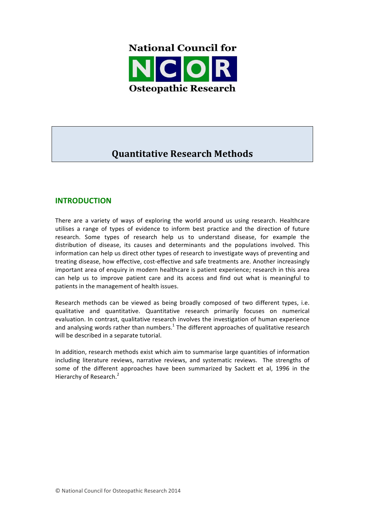

# **Quantitative Research Methods**

# **INTRODUCTION**

There are a variety of ways of exploring the world around us using research. Healthcare utilises a range of types of evidence to inform best practice and the direction of future research. Some types of research help us to understand disease, for example the distribution of disease, its causes and determinants and the populations involved. This information can help us direct other types of research to investigate ways of preventing and treating disease, how effective, cost-effective and safe treatments are. Another increasingly important area of enquiry in modern healthcare is patient experience; research in this area can help us to improve patient care and its access and find out what is meaningful to patients in the management of health issues.

Research methods can be viewed as being broadly composed of two different types, i.e. qualitative and quantitative. Quantitative research primarily focuses on numerical evaluation. In contrast, qualitative research involves the investigation of human experience and analysing words rather than numbers.<sup>1</sup> The different approaches of qualitative research will be described in a separate tutorial.

In addition, research methods exist which aim to summarise large quantities of information including literature reviews, narrative reviews, and systematic reviews. The strengths of some of the different approaches have been summarized by Sackett et al, 1996 in the Hierarchy of Research.<sup>2</sup>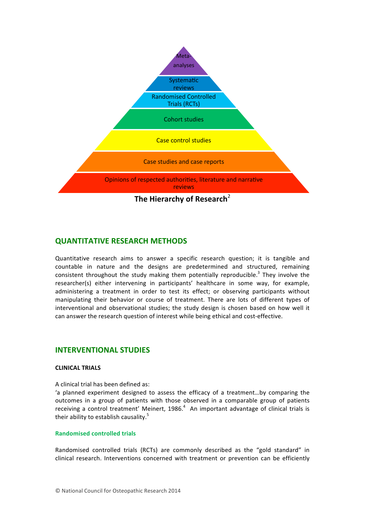

# **QUANTITATIVE RESEARCH METHODS**

Quantitative research aims to answer a specific research question; it is tangible and countable in nature and the designs are predetermined and structured, remaining consistent throughout the study making them potentially reproducible.<sup>3</sup> They involve the researcher(s) either intervening in participants' healthcare in some way, for example, administering a treatment in order to test its effect; or observing participants without manipulating their behavior or course of treatment. There are lots of different types of interventional and observational studies; the study design is chosen based on how well it can answer the research question of interest while being ethical and cost-effective.

### **INTERVENTIONAL STUDIES**

#### **CLINICAL TRIALS**

A clinical trial has been defined as:

'a planned experiment designed to assess the efficacy of a treatment...by comparing the outcomes in a group of patients with those observed in a comparable group of patients receiving a control treatment' Meinert, 1986. $4$  An important advantage of clinical trials is their ability to establish causality. $5$ 

#### **Randomised controlled trials**

Randomised controlled trials (RCTs) are commonly described as the "gold standard" in clinical research. Interventions concerned with treatment or prevention can be efficiently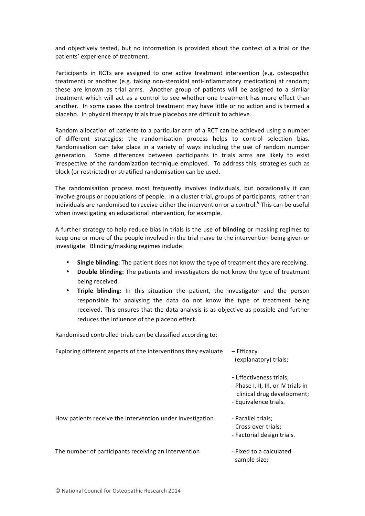and objectively tested, but no information is provided about the context of a trial or the patients' experience of treatment.

Participants in RCTs are assigned to one active treatment intervention (e.g. osteopathic treatment) or another (e.g. taking non-steroidal anti-inflammatory medication) at random; these are known as trial arms. Another group of patients will be assigned to a similar treatment which will act as a control to see whether one treatment has more effect than another. In some cases the control treatment may have little or no action and is termed a placebo. In physical therapy trials true placebos are difficult to achieve.

Random allocation of patients to a particular arm of a RCT can be achieved using a number of different strategies; the randomisation process helps to control selection bias. Randomisation can take place in a variety of ways including the use of random number generation. Some differences between participants in trials arms are likely to exist irrespective of the randomization technique employed. To address this, strategies such as block (or restricted) or stratified randomisation can be used.

The randomisation process most frequently involves individuals, but occasionally it can involve groups or populations of people. In a cluster trial, groups of participants, rather than individuals are randomised to receive either the intervention or a control.<sup>6</sup> This can be useful when investigating an educational intervention, for example.

A further strategy to help reduce bias in trials is the use of **blinding** or masking regimes to keep one or more of the people involved in the trial naïve to the intervention being given or investigate. Blinding/masking regimes include:

- **Single blinding:** The patient does not know the type of treatment they are receiving.
- **Double blinding:** The patients and investigators do not know the type of treatment being received.
- **Triple blinding:** In this situation the patient, the investigator and the person responsible for analysing the data do not know the type of treatment being received. This ensures that the data analysis is as objective as possible and further reduces the influence of the placebo effect.

Randomised controlled trials can be classified according to:

| Exploring different aspects of the interventions they evaluate | – Efficacy<br>(explanatory) trials;                                                                                   |  |
|----------------------------------------------------------------|-----------------------------------------------------------------------------------------------------------------------|--|
|                                                                | - Effectiveness trials;<br>- Phase I, II, III, or IV trials in<br>clinical drug development;<br>- Equivalence trials. |  |
| How patients receive the intervention under investigation      | - Parallel trials;<br>- Cross-over trials;<br>- Factorial design trials.                                              |  |
| The number of participants receiving an intervention           | - Fixed to a calculated<br>sample size;                                                                               |  |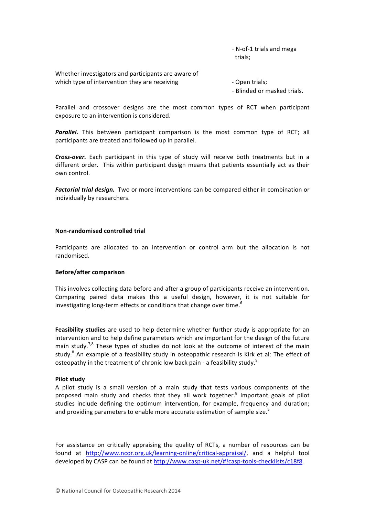- N-of-1 trials and mega trials;

Whether investigators and participants are aware of which type of intervention they are receiving example 20 - Open trials;

- Blinded or masked trials.

Parallel and crossover designs are the most common types of RCT when participant exposure to an intervention is considered.

**Parallel.** This between participant comparison is the most common type of RCT; all participants are treated and followed up in parallel.

**Cross-over.** Each participant in this type of study will receive both treatments but in a different order. This within participant design means that patients essentially act as their own control.

**Factorial trial design.** Two or more interventions can be compared either in combination or individually by researchers.

#### **Non-randomised controlled trial**

Participants are allocated to an intervention or control arm but the allocation is not randomised. 

#### **Before/after comparison**

This involves collecting data before and after a group of participants receive an intervention. Comparing paired data makes this a useful design, however, it is not suitable for investigating long-term effects or conditions that change over time.<sup>6</sup>

**Feasibility studies** are used to help determine whether further study is appropriate for an intervention and to help define parameters which are important for the design of the future main study.<sup>7,8</sup> These types of studies do not look at the outcome of interest of the main study. $^8$  An example of a feasibility study in osteopathic research is Kirk et al: The effect of osteopathy in the treatment of chronic low back pain - a feasibility study.<sup>9</sup>

#### **Pilot study**

A pilot study is a small version of a main study that tests various components of the proposed main study and checks that they all work together.<sup>8</sup> Important goals of pilot studies include defining the optimum intervention, for example, frequency and duration; and providing parameters to enable more accurate estimation of sample size.<sup>5</sup>

For assistance on critically appraising the quality of RCTs, a number of resources can be found at http://www.ncor.org.uk/learning-online/critical-appraisal/, and a helpful tool developed by CASP can be found at http://www.casp-uk.net/#!casp-tools-checklists/c18f8.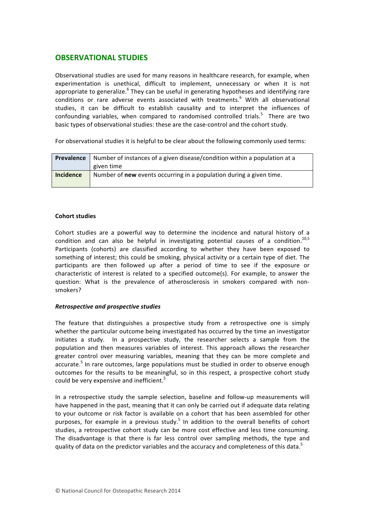# **OBSERVATIONAL STUDIES**

Observational studies are used for many reasons in healthcare research, for example, when experimentation is unethical, difficult to implement, unnecessary or when it is not appropriate to generalize.<sup>6</sup> They can be useful in generating hypotheses and identifying rare conditions or rare adverse events associated with treatments.<sup>6</sup> With all observational studies, it can be difficult to establish causality and to interpret the influences of confounding variables, when compared to randomised controlled trials.<sup>5</sup> There are two basic types of observational studies: these are the case-control and the cohort study.

For observational studies it is helpful to be clear about the following commonly used terms:

| Prevalence       | Number of instances of a given disease/condition within a population at a  |  |  |
|------------------|----------------------------------------------------------------------------|--|--|
|                  | given time                                                                 |  |  |
| <b>Incidence</b> | Number of <b>new</b> events occurring in a population during a given time. |  |  |

#### **Cohort studies**

Cohort studies are a powerful way to determine the incidence and natural history of a condition and can also be helpful in investigating potential causes of a condition.<sup>10,5</sup> Participants (cohorts) are classified according to whether they have been exposed to something of interest; this could be smoking, physical activity or a certain type of diet. The participants are then followed up after a period of time to see if the exposure or characteristic of interest is related to a specified outcome(s). For example, to answer the question: What is the prevalence of atherosclerosis in smokers compared with nonsmokers?

#### *Retrospective and prospective studies*

The feature that distinguishes a prospective study from a retrospective one is simply whether the particular outcome being investigated has occurred by the time an investigator initiates a study. In a prospective study, the researcher selects a sample from the population and then measures variables of interest. This approach allows the researcher greater control over measuring variables, meaning that they can be more complete and accurate.<sup>5</sup> In rare outcomes, large populations must be studied in order to observe enough outcomes for the results to be meaningful, so in this respect, a prospective cohort study could be very expensive and inefficient.<sup>5</sup>

In a retrospective study the sample selection, baseline and follow-up measurements will have happened in the past, meaning that it can only be carried out if adequate data relating to your outcome or risk factor is available on a cohort that has been assembled for other purposes, for example in a previous study.<sup>5</sup> In addition to the overall benefits of cohort studies, a retrospective cohort study can be more cost effective and less time consuming. The disadvantage is that there is far less control over sampling methods, the type and quality of data on the predictor variables and the accuracy and completeness of this data.<sup>5</sup>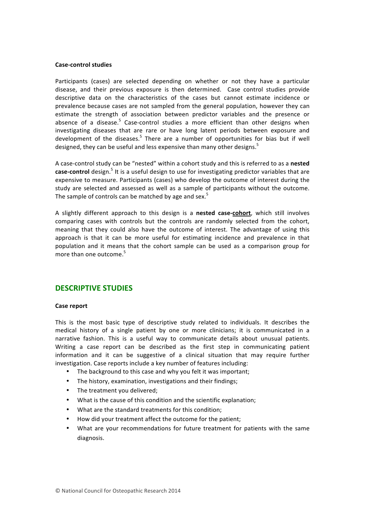#### **Case-control studies**

Participants (cases) are selected depending on whether or not they have a particular disease, and their previous exposure is then determined. Case control studies provide descriptive data on the characteristics of the cases but cannot estimate incidence or prevalence because cases are not sampled from the general population, however they can estimate the strength of association between predictor variables and the presence or absence of a disease.<sup>5</sup> Case-control studies a more efficient than other designs when investigating diseases that are rare or have long latent periods between exposure and development of the diseases.<sup>5</sup> There are a number of opportunities for bias but if well designed, they can be useful and less expensive than many other designs.<sup>5</sup>

A case-control study can be "nested" within a cohort study and this is referred to as a nested case-control design.<sup>5</sup> It is a useful design to use for investigating predictor variables that are expensive to measure. Participants (cases) who develop the outcome of interest during the study are selected and assessed as well as a sample of participants without the outcome. The sample of controls can be matched by age and sex.<sup>5</sup>

A slightly different approach to this design is a **nested case-cohort**, which still involves comparing cases with controls but the controls are randomly selected from the cohort, meaning that they could also have the outcome of interest. The advantage of using this approach is that it can be more useful for estimating incidence and prevalence in that population and it means that the cohort sample can be used as a comparison group for more than one outcome.<sup>5</sup>

# **DESCRIPTIVE STUDIES**

#### **Case report**

This is the most basic type of descriptive study related to individuals. It describes the medical history of a single patient by one or more clinicians; it is communicated in a narrative fashion. This is a useful way to communicate details about unusual patients. Writing a case report can be described as the first step in communicating patient information and it can be suggestive of a clinical situation that may require further investigation. Case reports include a key number of features including:

- The background to this case and why you felt it was important;
- The history, examination, investigations and their findings;
- The treatment you delivered;
- What is the cause of this condition and the scientific explanation;
- What are the standard treatments for this condition;
- How did your treatment affect the outcome for the patient;
- What are your recommendations for future treatment for patients with the same diagnosis.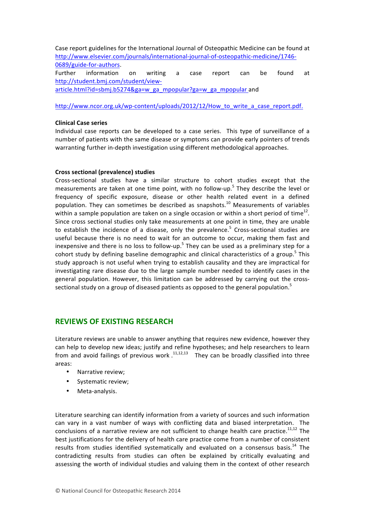Case report guidelines for the International Journal of Osteopathic Medicine can be found at http://www.elsevier.com/journals/international-journal-of-osteopathic-medicine/1746- 0689/guide-for-authors. Further information on writing a case report can be found at http://student.bmj.com/student/viewarticle.html?id=sbmj.b5274&ga=w\_ga\_mpopular?ga=w\_ga\_mpopular and

http://www.ncor.org.uk/wp-content/uploads/2012/12/How\_to\_write\_a\_case\_report.pdf.

#### **Clinical Case series**

Individual case reports can be developed to a case series. This type of surveillance of a number of patients with the same disease or symptoms can provide early pointers of trends warranting further in-depth investigation using different methodological approaches.

#### **Cross sectional (prevalence) studies**

Cross-sectional studies have a similar structure to cohort studies except that the measurements are taken at one time point, with no follow-up.<sup>5</sup> They describe the level or frequency of specific exposure, disease or other health related event in a defined population. They can sometimes be described as snapshots.<sup>10</sup> Measurements of variables within a sample population are taken on a single occasion or within a short period of time<sup>12</sup>. Since cross sectional studies only take measurements at one point in time, they are unable to establish the incidence of a disease, only the prevalence.<sup>5</sup> Cross-sectional studies are useful because there is no need to wait for an outcome to occur, making them fast and inexpensive and there is no loss to follow-up.<sup>5</sup> They can be used as a preliminary step for a cohort study by defining baseline demographic and clinical characteristics of a group.<sup>5</sup> This study approach is not useful when trying to establish causality and they are impractical for investigating rare disease due to the large sample number needed to identify cases in the general population. However, this limitation can be addressed by carrying out the crosssectional study on a group of diseased patients as opposed to the general population.<sup>5</sup>

# **REVIEWS OF EXISTING RESEARCH**

Literature reviews are unable to answer anything that requires new evidence, however they can help to develop new ideas; justify and refine hypotheses; and help researchers to learn from and avoid failings of previous work  $.$ <sup>11,12,13</sup> They can be broadly classified into three areas:

- Narrative review;
- Systematic review;
- Meta-analysis.

Literature searching can identify information from a variety of sources and such information can vary in a vast number of ways with conflicting data and biased interpretation. The conclusions of a narrative review are not sufficient to change health care practice. $^{11,12}$  The best justifications for the delivery of health care practice come from a number of consistent results from studies identified systematically and evaluated on a consensus basis.<sup>14</sup> The contradicting results from studies can often be explained by critically evaluating and assessing the worth of individual studies and valuing them in the context of other research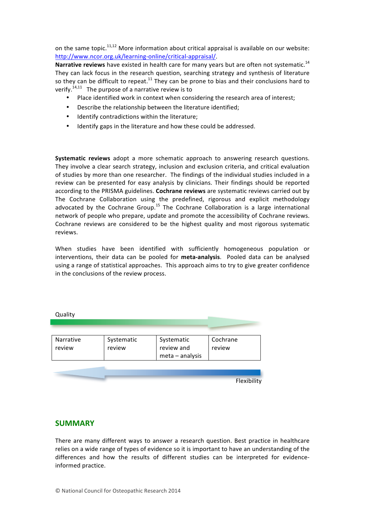on the same topic.<sup>11,12</sup> More information about critical appraisal is available on our website: http://www.ncor.org.uk/learning-online/critical-appraisal/. 

**Narrative reviews** have existed in health care for many years but are often not systematic.<sup>14</sup> They can lack focus in the research question, searching strategy and synthesis of literature so they can be difficult to repeat.<sup>11</sup> They can be prone to bias and their conclusions hard to verify.<sup>14,11</sup> The purpose of a narrative review is to

- Place identified work in context when considering the research area of interest;
- Describe the relationship between the literature identified:
- Identify contradictions within the literature;
- Identify gaps in the literature and how these could be addressed.

**Systematic reviews** adopt a more schematic approach to answering research questions. They involve a clear search strategy, inclusion and exclusion criteria, and critical evaluation of studies by more than one researcher. The findings of the individual studies included in a review can be presented for easy analysis by clinicians. Their findings should be reported according to the PRISMA guidelines. Cochrane reviews are systematic reviews carried out by The Cochrane Collaboration using the predefined, rigorous and explicit methodology advocated by the Cochrane Group.<sup>15</sup> The Cochrane Collaboration is a large international network of people who prepare, update and promote the accessibility of Cochrane reviews. Cochrane reviews are considered to be the highest quality and most rigorous systematic reviews. 

When studies have been identified with sufficiently homogeneous population or interventions, their data can be pooled for meta-analysis. Pooled data can be analysed using a range of statistical approaches. This approach aims to try to give greater confidence in the conclusions of the review process.

| Quality             |                      |                                             |                    |
|---------------------|----------------------|---------------------------------------------|--------------------|
|                     |                      |                                             |                    |
| Narrative<br>review | Systematic<br>review | Systematic<br>review and<br>meta - analysis | Cochrane<br>review |
|                     |                      |                                             | Flexibility        |

### **SUMMARY**

There are many different ways to answer a research question. Best practice in healthcare relies on a wide range of types of evidence so it is important to have an understanding of the differences and how the results of different studies can be interpreted for evidenceinformed practice.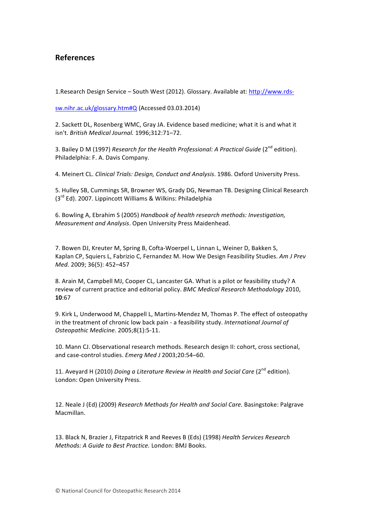# **References**

1. Research Design Service – South West (2012). Glossary. Available at: http://www.rds-

sw.nihr.ac.uk/glossary.htm#Q (Accessed 03.03.2014)

2. Sackett DL, Rosenberg WMC, Gray JA. Evidence based medicine; what it is and what it isn't. *British Medical Journal.* 1996;312:71–72.

3. Bailey D M (1997) Research for the Health Professional: A Practical Guide (2<sup>nd</sup> edition). Philadelphia: F. A. Davis Company.

4. Meinert CL. *Clinical Trials: Design, Conduct and Analysis*. 1986. Oxford University Press.

5. Hulley SB, Cummings SR, Browner WS, Grady DG, Newman TB. Designing Clinical Research  $(3<sup>rd</sup> Ed)$ . 2007. Lippincott Williams & Wilkins: Philadelphia

6. Bowling A, Ebrahim S (2005) *Handbook of health research methods: Investigation, Measurement and Analysis*. Open University Press Maidenhead.

7. Bowen DJ, Kreuter M, Spring B, Cofta-Woerpel L, Linnan L, Weiner D, Bakken S, Kaplan CP, Squiers L, Fabrizio C, Fernandez M. How We Design Feasibility Studies. Am J Prev *Med.* 2009; 36(5): 452–457

8. Arain M, Campbell MJ, Cooper CL, Lancaster GA. What is a pilot or feasibility study? A review of current practice and editorial policy. *BMC Medical Research Methodology* 2010, **10**:67

9. Kirk L, Underwood M, Chappell L, Martins-Mendez M, Thomas P. The effect of osteopathy in the treatment of chronic low back pain - a feasibility study. *International Journal of Osteopathic Medicine.* 2005;8(1):5-11.

10. Mann CJ. Observational research methods. Research design II: cohort, cross sectional, and case-control studies. *Emerg Med J* 2003;20:54-60.

11. Aveyard H (2010) *Doing a Literature Review in Health and Social Care* (2<sup>nd</sup> edition). London: Open University Press.

12. Neale J (Ed) (2009) *Research Methods for Health and Social Care.* Basingstoke: Palgrave Macmillan.

13. Black N, Brazier J, Fitzpatrick R and Reeves B (Eds) (1998) *Health Services Research Methods: A Guide to Best Practice.* London: BMJ Books.